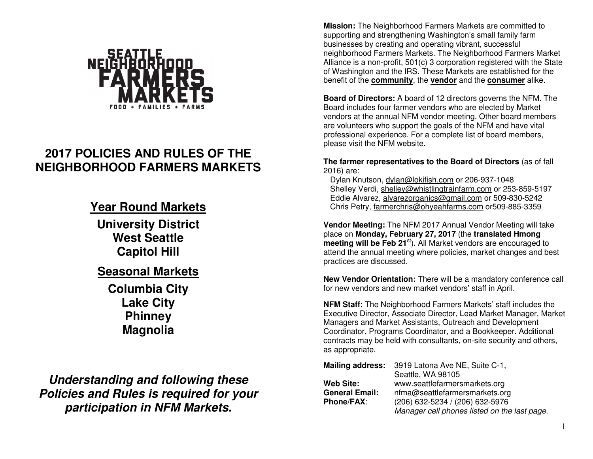

# **2017 POLICIES AND RULES OF THE NEIGHBORHOOD FARMERS MARKETS**

## **Year Round Markets**

**University District West Seattle Capitol Hill** 

## **Seasonal Markets**

**Columbia City Lake City Phinney Magnolia** 

**Understanding and following these Policies and Rules is required for your participation in NFM Markets.** 

**Mission:** The Neighborhood Farmers Markets are committed to supporting and strengthening Washington's small family farm businesses by creating and operating vibrant, successful neighborhood Farmers Markets. The Neighborhood Farmers Market Alliance is a non-profit, 501(c) 3 corporation registered with the State of Washington and the IRS. These Markets are established for the benefit of the **community**, the **vendor** and the **consumer** alike.

**Board of Directors:** A board of 12 directors governs the NFM. The Board includes four farmer vendors who are elected by Market vendors at the annual NFM vendor meeting. Other board members are volunteers who support the goals of the NFM and have vital professional experience. For a complete list of board members, please visit the NFM website.

**The farmer representatives to the Board of Directors** (as of fall 2016) are:

Dylan Knutson, dylan@lokifish.com or 206-937-1048 Shelley Verdi, shelley@whistlingtrainfarm.com or 253-859-5197 Eddie Alvarez, alvarezorganics@gmail.com or 509-830-5242 Chris Petry, farmerchris@ohyeahfarms.com or509-885-3359

**Vendor Meeting:** The NFM 2017 Annual Vendor Meeting will take place on **Monday, February 27, 2017** (the **translated Hmong meeting will be Feb 21**st). All Market vendors are encouraged to attend the annual meeting where policies, market changes and best practices are discussed.

**New Vendor Orientation:** There will be a mandatory conference call for new vendors and new market vendors' staff in April.

**NFM Staff:** The Neighborhood Farmers Markets' staff includes the Executive Director, Associate Director, Lead Market Manager, Market Managers and Market Assistants, Outreach and Development Coordinator, Programs Coordinator, and a Bookkeeper. Additional contracts may be held with consultants, on-site security and others, as appropriate.

| <b>Mailing address:</b> | 3919 Latona Ave NE, Suite C-1,               |
|-------------------------|----------------------------------------------|
|                         | Seattle, WA 98105                            |
| <b>Web Site:</b>        | www.seattlefarmersmarkets.org                |
| <b>General Email:</b>   | nfma@seattlefarmersmarkets.org               |
| <b>Phone/FAX:</b>       | (206) 632-5234 / (206) 632-5976              |
|                         | Manager cell phones listed on the last page. |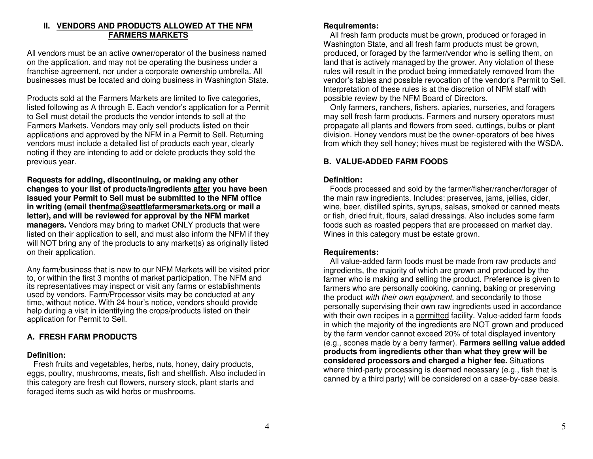## **II. VENDORS AND PRODUCTS ALLOWED AT THE NFM FARMERS MARKETS**

All vendors must be an active owner/operator of the business named on the application, and may not be operating the business under a franchise agreement, nor under a corporate ownership umbrella. All businesses must be located and doing business in Washington State.

Products sold at the Farmers Markets are limited to five categories, listed following as A through E. Each vendor's application for a Permit to Sell must detail the products the vendor intends to sell at the Farmers Markets. Vendors may only sell products listed on their applications and approved by the NFM in a Permit to Sell. Returning vendors must include a detailed list of products each year, clearly noting if they are intending to add or delete products they sold the previous year.

**Requests for adding, discontinuing, or making any other changes to your list of products/ingredients after you have been issued your Permit to Sell must be submitted to the NFM office in writing (email thenfma@seattlefarmersmarkets.org or mail a letter), and will be reviewed for approval by the NFM market managers.** Vendors may bring to market ONLY products that were listed on their application to sell, and must also inform the NFM if they will NOT bring any of the products to any market(s) as originally listed on their application.

Any farm/business that is new to our NFM Markets will be visited prior to, or within the first 3 months of market participation. The NFM and its representatives may inspect or visit any farms or establishments used by vendors. Farm/Processor visits may be conducted at any time, without notice. With 24 hour's notice, vendors should provide help during a visit in identifying the crops/products listed on their application for Permit to Sell.

## **A. FRESH FARM PRODUCTS**

#### **Definition:**

 Fresh fruits and vegetables, herbs, nuts, honey, dairy products, eggs, poultry, mushrooms, meats, fish and shellfish. Also included in this category are fresh cut flowers, nursery stock, plant starts and foraged items such as wild herbs or mushrooms.

## **Requirements:**

 All fresh farm products must be grown, produced or foraged in Washington State, and all fresh farm products must be grown, produced, or foraged by the farmer/vendor who is selling them, on land that is actively managed by the grower. Any violation of these rules will result in the product being immediately removed from the vendor's tables and possible revocation of the vendor's Permit to Sell. Interpretation of these rules is at the discretion of NFM staff with possible review by the NFM Board of Directors.

 Only farmers, ranchers, fishers, apiaries, nurseries, and foragers may sell fresh farm products. Farmers and nursery operators must propagate all plants and flowers from seed, cuttings, bulbs or plant division. Honey vendors must be the owner-operators of bee hives from which they sell honey; hives must be registered with the WSDA.

## **B. VALUE-ADDED FARM FOODS**

## **Definition:**

 Foods processed and sold by the farmer/fisher/rancher/forager of the main raw ingredients. Includes: preserves, jams, jellies, cider, wine, beer, distilled spirits, syrups, salsas, smoked or canned meats or fish, dried fruit, flours, salad dressings. Also includes some farm foods such as roasted peppers that are processed on market day. Wines in this category must be estate grown.

## **Requirements:**

 All value-added farm foods must be made from raw products and ingredients, the majority of which are grown and produced by the farmer who is making and selling the product. Preference is given to farmers who are personally cooking, canning, baking or preserving the product with their own equipment, and secondarily to those personally supervising their own raw ingredients used in accordance with their own recipes in a permitted facility. Value-added farm foods in which the majority of the ingredients are NOT grown and produced by the farm vendor cannot exceed 20% of total displayed inventory (e.g., scones made by a berry farmer). **Farmers selling value added products from ingredients other than what they grew will be considered processors and charged a higher fee.** Situations where third-party processing is deemed necessary (e.g., fish that is canned by a third party) will be considered on a case-by-case basis.